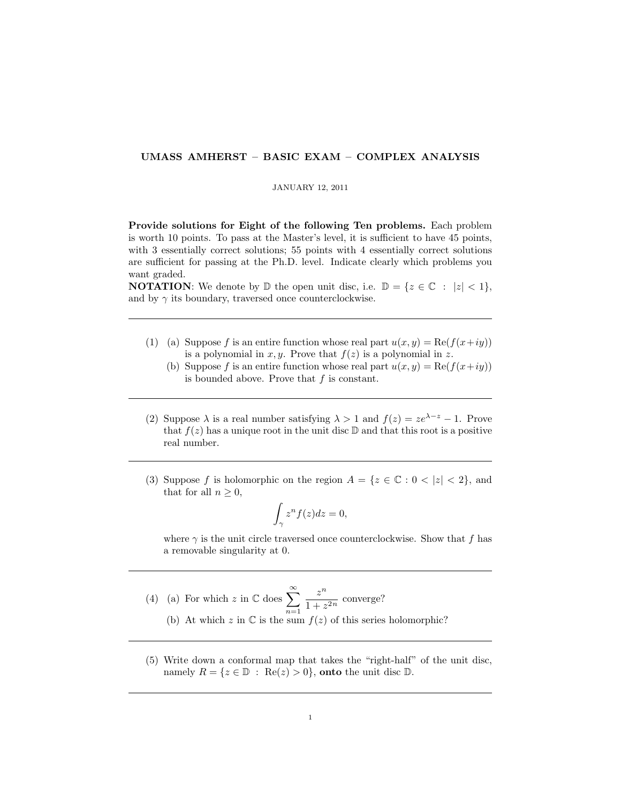## UMASS AMHERST – BASIC EXAM – COMPLEX ANALYSIS

## JANUARY 12, 2011

Provide solutions for Eight of the following Ten problems. Each problem is worth 10 points. To pass at the Master's level, it is sufficient to have 45 points, with 3 essentially correct solutions; 55 points with 4 essentially correct solutions are sufficient for passing at the Ph.D. level. Indicate clearly which problems you want graded.

**NOTATION:** We denote by  $\mathbb{D}$  the open unit disc, i.e.  $\mathbb{D} = \{z \in \mathbb{C} : |z| < 1\},\$ and by  $\gamma$  its boundary, traversed once counterclockwise.

- (1) (a) Suppose f is an entire function whose real part  $u(x, y) = \text{Re}(f(x+iy))$ is a polynomial in x, y. Prove that  $f(z)$  is a polynomial in z.
	- (b) Suppose f is an entire function whose real part  $u(x, y) = \text{Re}(f(x+iy))$ is bounded above. Prove that  $f$  is constant.
- (2) Suppose  $\lambda$  is a real number satisfying  $\lambda > 1$  and  $f(z) = ze^{\lambda z} 1$ . Prove that  $f(z)$  has a unique root in the unit disc  $\mathbb D$  and that this root is a positive real number.
- (3) Suppose f is holomorphic on the region  $A = \{z \in \mathbb{C} : 0 < |z| < 2\}$ , and that for all  $n \geq 0$ ,

$$
\int_{\gamma} z^n f(z) dz = 0,
$$

where  $\gamma$  is the unit circle traversed once counterclockwise. Show that f has a removable singularity at 0.

- (4) (a) For which z in  $\mathbb{C}$  does  $\sum_{n=1}^{\infty}$  $n=1$  $z^n$  $\frac{z}{1+z^{2n}}$  converge? (b) At which z in  $\mathbb C$  is the sum  $f(z)$  of this series holomorphic?
- (5) Write down a conformal map that takes the "right-half" of the unit disc, namely  $R = \{z \in \mathbb{D} : \text{Re}(z) > 0\}$ , onto the unit disc  $\mathbb{D}$ .